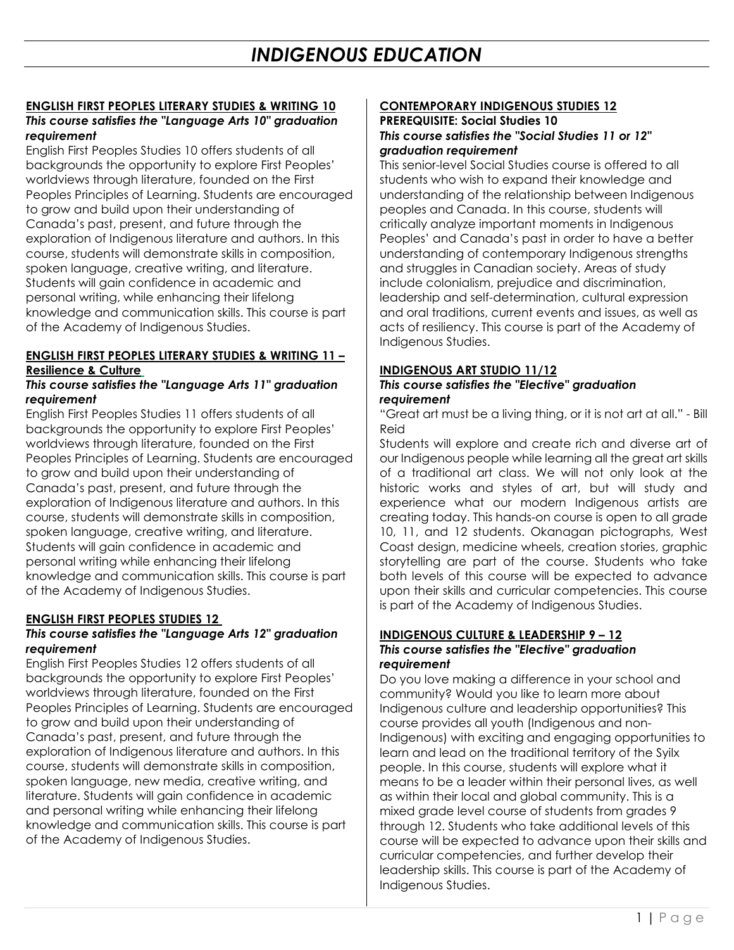## **ENGLISH FIRST PEOPLES LITERARY STUDIES & WRITING 10** *This course satisfies the "Language Arts 10" graduation requirement*

English First Peoples Studies 10 offers students of all backgrounds the opportunity to explore First Peoples' worldviews through literature, founded on the First Peoples Principles of Learning. Students are encouraged to grow and build upon their understanding of Canada's past, present, and future through the exploration of Indigenous literature and authors. In this course, students will demonstrate skills in composition, spoken language, creative writing, and literature. Students will gain confidence in academic and personal writing, while enhancing their lifelong knowledge and communication skills. This course is part of the Academy of Indigenous Studies.

### **ENGLISH FIRST PEOPLES LITERARY STUDIES & WRITING 11 – Resilience & Culture**

### *This course satisfies the "Language Arts 11" graduation requirement*

English First Peoples Studies 11 offers students of all backgrounds the opportunity to explore First Peoples' worldviews through literature, founded on the First Peoples Principles of Learning. Students are encouraged to grow and build upon their understanding of Canada's past, present, and future through the exploration of Indigenous literature and authors. In this course, students will demonstrate skills in composition, spoken language, creative writing, and literature. Students will gain confidence in academic and personal writing while enhancing their lifelong knowledge and communication skills. This course is part of the Academy of Indigenous Studies.

# **ENGLISH FIRST PEOPLES STUDIES 12**

### *This course satisfies the "Language Arts 12" graduation requirement*

English First Peoples Studies 12 offers students of all backgrounds the opportunity to explore First Peoples' worldviews through literature, founded on the First Peoples Principles of Learning. Students are encouraged to grow and build upon their understanding of Canada's past, present, and future through the exploration of Indigenous literature and authors. In this course, students will demonstrate skills in composition, spoken language, new media, creative writing, and literature. Students will gain confidence in academic and personal writing while enhancing their lifelong knowledge and communication skills. This course is part of the Academy of Indigenous Studies.

## **CONTEMPORARY INDIGENOUS STUDIES 12**

#### **PREREQUISITE: Social Studies 10** *This course satisfies the "Social Studies 11 or 12" graduation requirement*

This senior-level Social Studies course is offered to all students who wish to expand their knowledge and understanding of the relationship between Indigenous peoples and Canada. In this course, students will critically analyze important moments in Indigenous Peoples' and Canada's past in order to have a better understanding of contemporary Indigenous strengths and struggles in Canadian society. Areas of study include colonialism, prejudice and discrimination, leadership and self-determination, cultural expression and oral traditions, current events and issues, as well as acts of resiliency. This course is part of the Academy of Indigenous Studies.

### **INDIGENOUS ART STUDIO 11/12**

#### *This course satisfies the "Elective" graduation requirement*

"Great art must be a living thing, or it is not art at all." - Bill Reid

Students will explore and create rich and diverse art of our Indigenous people while learning all the great art skills of a traditional art class. We will not only look at the historic works and styles of art, but will study and experience what our modern Indigenous artists are creating today. This hands-on course is open to all grade 10, 11, and 12 students. Okanagan pictographs, West Coast design, medicine wheels, creation stories, graphic storytelling are part of the course. Students who take both levels of this course will be expected to advance upon their skills and curricular competencies. This course is part of the Academy of Indigenous Studies.

#### **INDIGENOUS CULTURE & LEADERSHIP 9 – 12** *This course satisfies the "Elective" graduation requirement*

Do you love making a difference in your school and community? Would you like to learn more about Indigenous culture and leadership opportunities? This course provides all youth (Indigenous and non-Indigenous) with exciting and engaging opportunities to learn and lead on the traditional territory of the Syilx people. In this course, students will explore what it means to be a leader within their personal lives, as well as within their local and global community. This is a mixed grade level course of students from grades 9 through 12. Students who take additional levels of this course will be expected to advance upon their skills and curricular competencies, and further develop their leadership skills. This course is part of the Academy of Indigenous Studies.